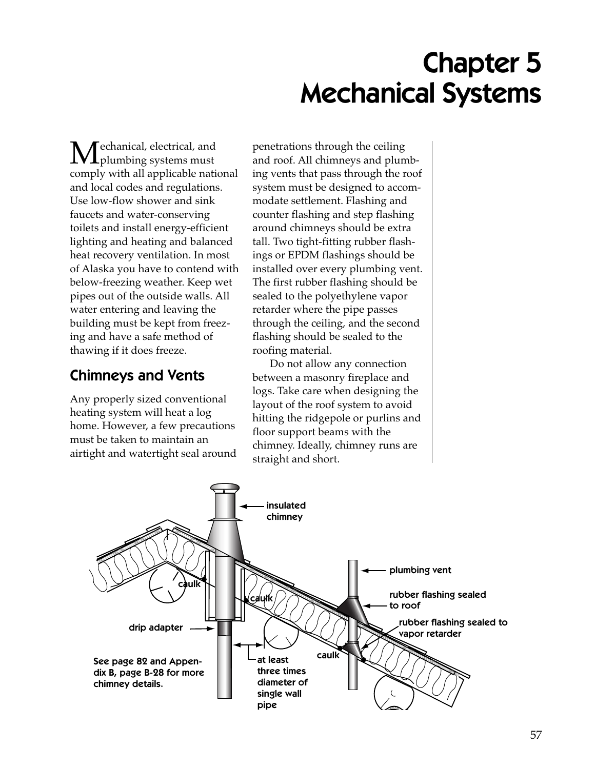# Chapter 5 Mechanical Systems

Mechanical, electrical, and<br>plumbing systems must comply with all applicable national and local codes and regulations. Use low-flow shower and sink faucets and water-conserving toilets and install energy-efficient lighting and heating and balanced heat recovery ventilation. In most of Alaska you have to contend with below-freezing weather. Keep wet pipes out of the outside walls. All water entering and leaving the building must be kept from freezing and have a safe method of thawing if it does freeze.

# Chimneys and Vents

Any properly sized conventional heating system will heat a log home. However, a few precautions must be taken to maintain an airtight and watertight seal around

penetrations through the ceiling and roof. All chimneys and plumbing vents that pass through the roof system must be designed to accommodate settlement. Flashing and counter flashing and step flashing around chimneys should be extra tall. Two tight-fitting rubber flashings or EPDM flashings should be installed over every plumbing vent. The first rubber flashing should be sealed to the polyethylene vapor retarder where the pipe passes through the ceiling, and the second flashing should be sealed to the roofing material.

Do not allow any connection between a masonry fireplace and logs. Take care when designing the layout of the roof system to avoid hitting the ridgepole or purlins and floor support beams with the chimney. Ideally, chimney runs are straight and short.

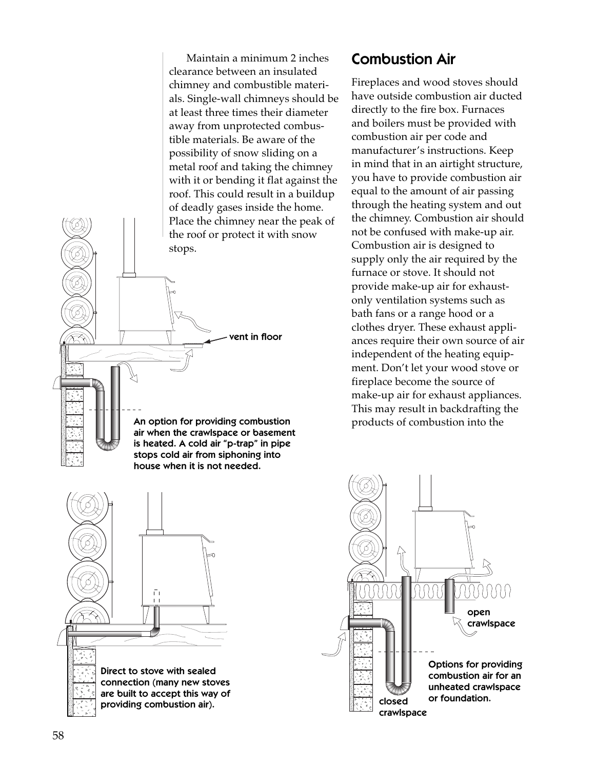Maintain a minimum 2 inches clearance between an insulated chimney and combustible materials. Single-wall chimneys should be at least three times their diameter away from unprotected combustible materials. Be aware of the possibility of snow sliding on a metal roof and taking the chimney with it or bending it flat against the roof. This could result in a buildup of deadly gases inside the home. Place the chimney near the peak of the roof or protect it with snow



### Combustion Air

Fireplaces and wood stoves should have outside combustion air ducted directly to the fire box. Furnaces and boilers must be provided with combustion air per code and manufacturer's instructions. Keep in mind that in an airtight structure, you have to provide combustion air equal to the amount of air passing through the heating system and out the chimney. Combustion air should not be confused with make-up air. Combustion air is designed to supply only the air required by the furnace or stove. It should not provide make-up air for exhaustonly ventilation systems such as bath fans or a range hood or a clothes dryer. These exhaust appliances require their own source of air independent of the heating equipment. Don't let your wood stove or fireplace become the source of make-up air for exhaust appliances. This may result in backdrafting the products of combustion into the



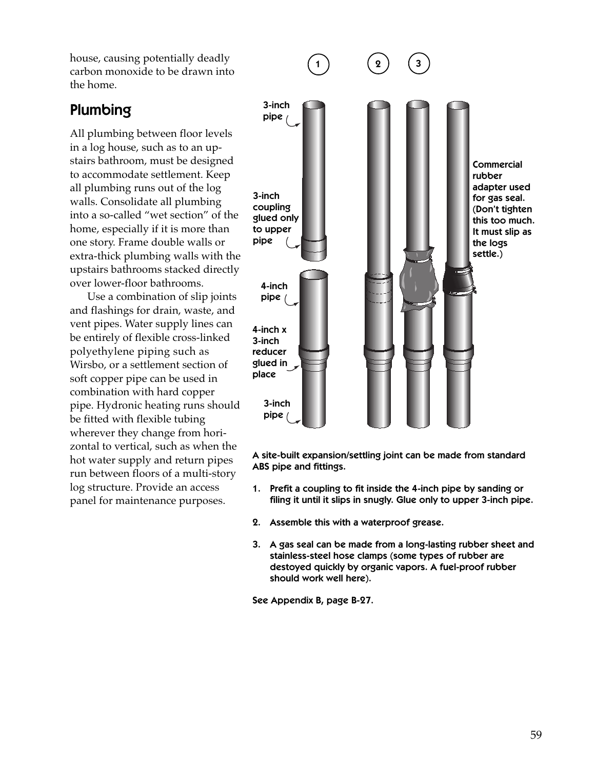house, causing potentially deadly carbon monoxide to be drawn into the home.

# Plumbing

All plumbing between floor levels in a log house, such as to an upstairs bathroom, must be designed to accommodate settlement. Keep all plumbing runs out of the log walls. Consolidate all plumbing into a so-called "wet section" of the home, especially if it is more than one story. Frame double walls or extra-thick plumbing walls with the upstairs bathrooms stacked directly over lower-floor bathrooms.

Use a combination of slip joints and flashings for drain, waste, and vent pipes. Water supply lines can be entirely of flexible cross-linked polyethylene piping such as Wirsbo, or a settlement section of soft copper pipe can be used in combination with hard copper pipe. Hydronic heating runs should be fitted with flexible tubing wherever they change from horizontal to vertical, such as when the hot water supply and return pipes run between floors of a multi-story log structure. Provide an access panel for maintenance purposes.



A site-built expansion/settling joint can be made from standard ABS pipe and fittings.

- 1. Prefit a coupling to fit inside the 4-inch pipe by sanding or filing it until it slips in snugly. Glue only to upper 3-inch pipe.
- 2. Assemble this with a waterproof grease.
- 3. A gas seal can be made from a long-lasting rubber sheet and stainless-steel hose clamps (some types of rubber are destoyed quickly by organic vapors. A fuel-proof rubber should work well here).

See Appendix B, page B-27.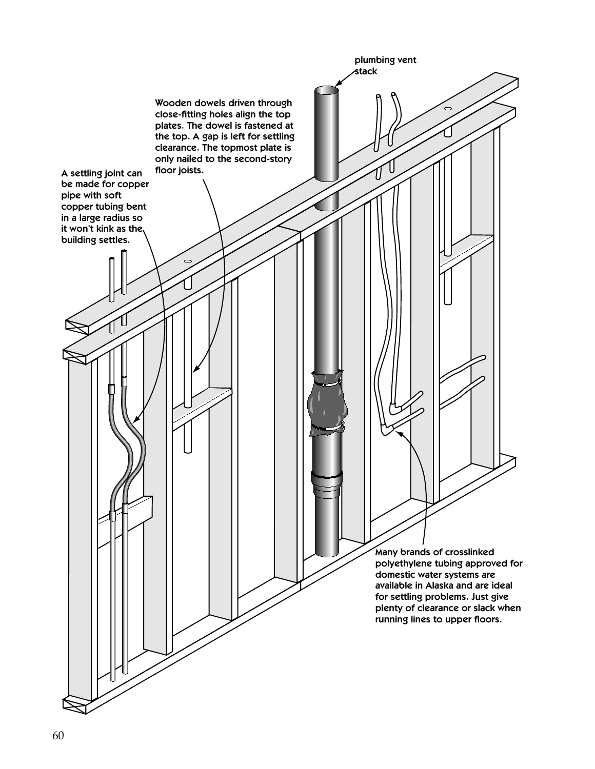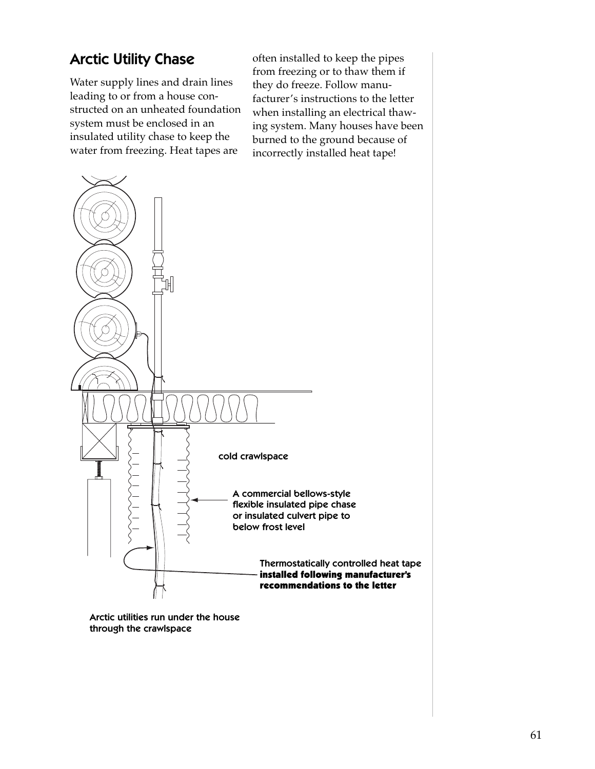# Arctic Utility Chase

Water supply lines and drain lines leading to or from a house constructed on an unheated foundation system must be enclosed in an insulated utility chase to keep the water from freezing. Heat tapes are

often installed to keep the pipes from freezing or to thaw them if they do freeze. Follow manufacturer's instructions to the letter when installing an electrical thawing system. Many houses have been burned to the ground because of incorrectly installed heat tape!



through the crawlspace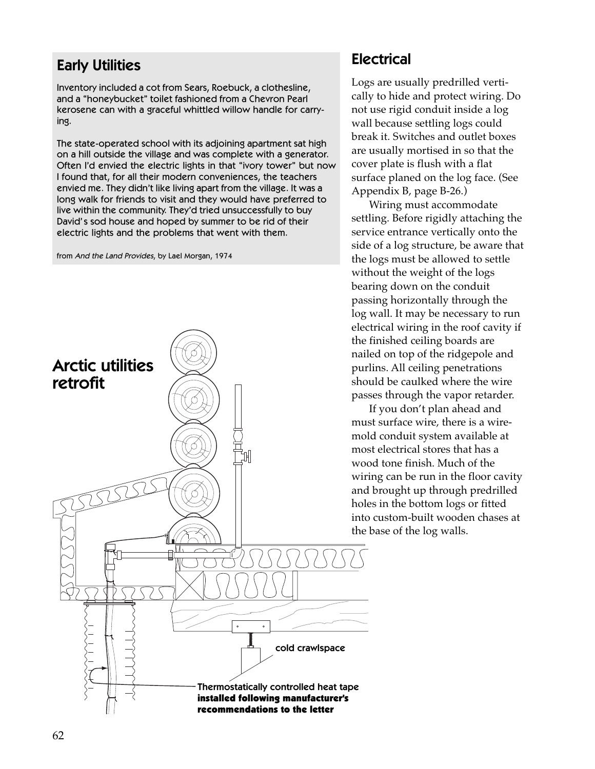# Early Utilities

Inventory included a cot from Sears, Roebuck, a clothesline, and a "honeybucket" toilet fashioned from a Chevron Pearl kerosene can with a graceful whittled willow handle for carrying.

The state-operated school with its adjoining apartment sat high on a hill outside the village and was complete with a generator. Often I'd envied the electric lights in that "ivory tower" but now I found that, for all their modern conveniences, the teachers envied me. They didn't like living apart from the village. It was a long walk for friends to visit and they would have preferred to live within the community. They'd tried unsuccessfully to buy David's sod house and hoped by summer to be rid of their electric lights and the problems that went with them.

from And the Land Provides, by Lael Morgan, 1974



### **Electrical**

Logs are usually predrilled vertically to hide and protect wiring. Do not use rigid conduit inside a log wall because settling logs could break it. Switches and outlet boxes are usually mortised in so that the cover plate is flush with a flat surface planed on the log face. (See Appendix B, page B-26.)

Wiring must accommodate settling. Before rigidly attaching the service entrance vertically onto the side of a log structure, be aware that the logs must be allowed to settle without the weight of the logs bearing down on the conduit passing horizontally through the log wall. It may be necessary to run electrical wiring in the roof cavity if the finished ceiling boards are nailed on top of the ridgepole and purlins. All ceiling penetrations should be caulked where the wire passes through the vapor retarder.

If you don't plan ahead and must surface wire, there is a wiremold conduit system available at most electrical stores that has a wood tone finish. Much of the wiring can be run in the floor cavity and brought up through predrilled holes in the bottom logs or fitted into custom-built wooden chases at the base of the log walls.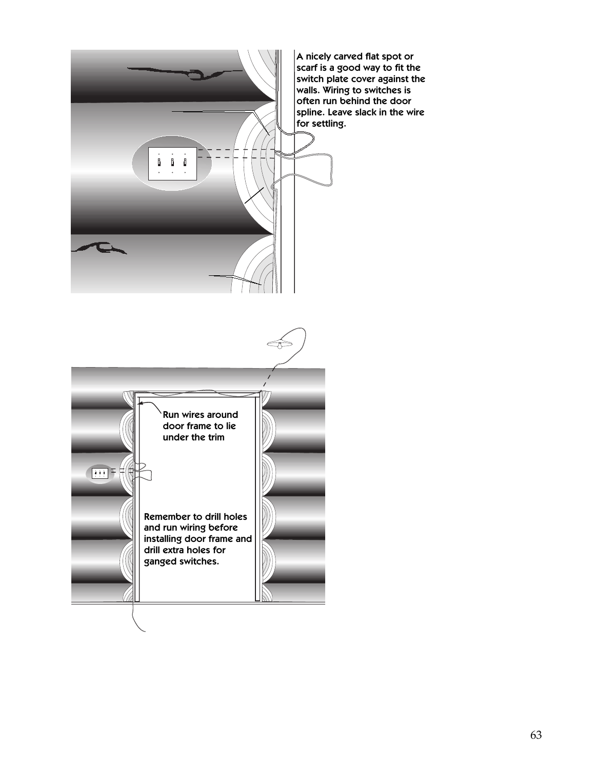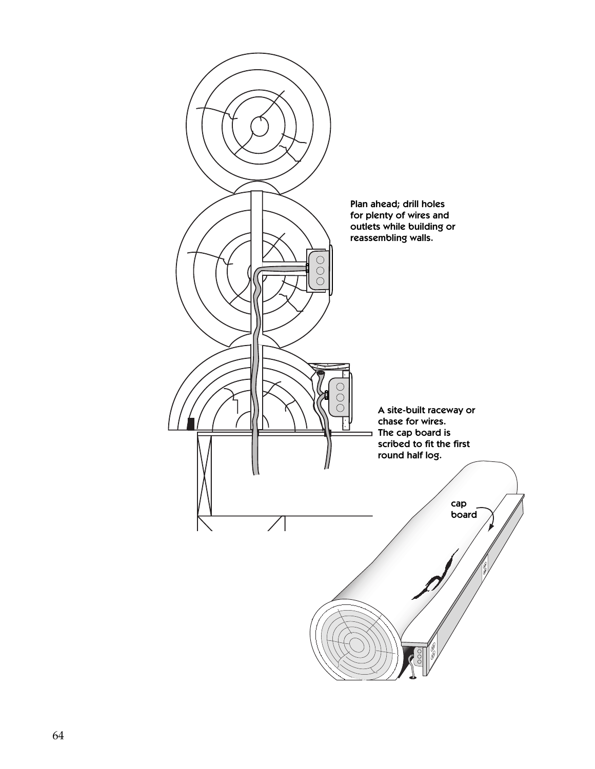